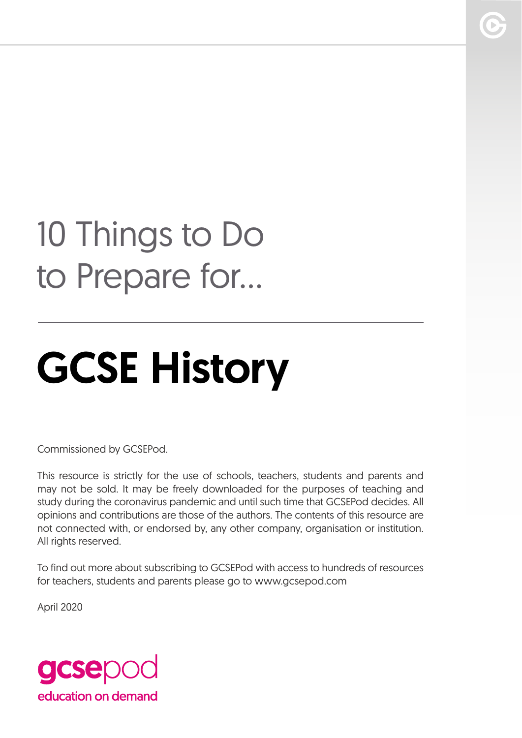## 10 Things to Do to Prepare for...

# GCSE History

Commissioned by GCSEPod.

This resource is strictly for the use of schools, teachers, students and parents and may not be sold. It may be freely downloaded for the purposes of teaching and study during the coronavirus pandemic and until such time that GCSEPod decides. All opinions and contributions are those of the authors. The contents of this resource are not connected with, or endorsed by, any other company, organisation or institution. All rights reserved.

To find out more about subscribing to GCSEPod with access to hundreds of resources for teachers, students and parents please go to www.gcsepod.com

April 2020

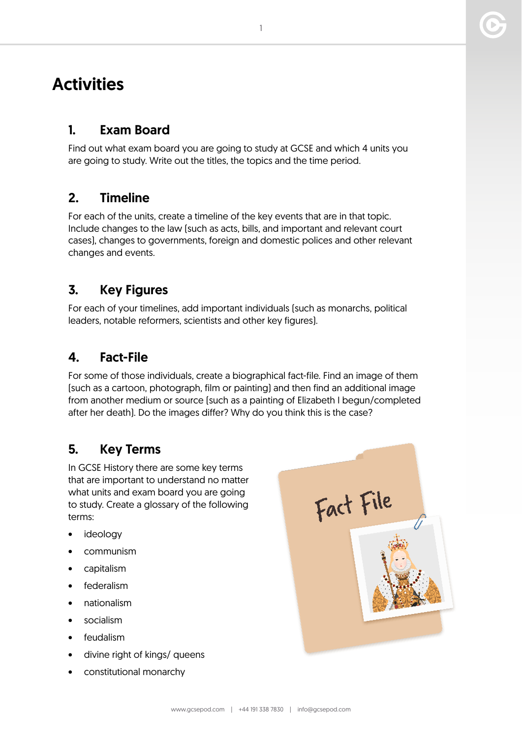### **Activities**

#### 1. Exam Board

Find out what exam board you are going to study at GCSE and which 4 units you are going to study. Write out the titles, the topics and the time period.

#### 2. Timeline

For each of the units, create a timeline of the key events that are in that topic. Include changes to the law (such as acts, bills, and important and relevant court cases), changes to governments, foreign and domestic polices and other relevant changes and events.

#### 3. Key Figures

For each of your timelines, add important individuals (such as monarchs, political leaders, notable reformers, scientists and other key figures).

#### 4. Fact-File

For some of those individuals, create a biographical fact-file. Find an image of them (such as a cartoon, photograph, film or painting) and then find an additional image from another medium or source (such as a painting of Elizabeth I begun/completed after her death). Do the images differ? Why do you think this is the case?

#### 5. Key Terms

In GCSE History there are some key terms that are important to understand no matter what units and exam board you are going to study. Create a glossary of the following terms:

- *ideology*
- communism
- capitalism
- **federalism**
- nationalism
- socialism
- **feudalism**
- divine right of kings/ queens
- constitutional monarchy